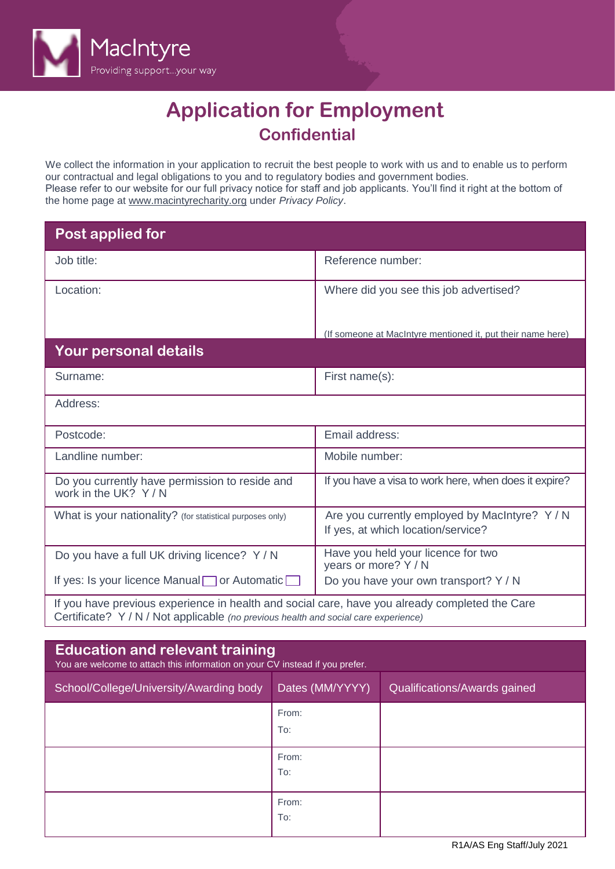

# **Application for Employment Confidential**

We collect the information in your application to recruit the best people to work with us and to enable us to perform our contractual and legal obligations to you and to regulatory bodies and government bodies. Please refer to our website for our full privacy notice for staff and job applicants. You'll find it right at the bottom of the home page at [www.macintyrecharity.org](http://#) under *Privacy Policy*.

| Post applied for                                                                                                                                                                      |                                                                                      |
|---------------------------------------------------------------------------------------------------------------------------------------------------------------------------------------|--------------------------------------------------------------------------------------|
| Job title:                                                                                                                                                                            | Reference number:                                                                    |
| Location:                                                                                                                                                                             | Where did you see this job advertised?                                               |
|                                                                                                                                                                                       | (If someone at MacIntyre mentioned it, put their name here)                          |
| Your personal details                                                                                                                                                                 |                                                                                      |
| Surname:                                                                                                                                                                              | First name(s):                                                                       |
| Address:                                                                                                                                                                              |                                                                                      |
| Postcode:                                                                                                                                                                             | Email address:                                                                       |
| Landline number:                                                                                                                                                                      | Mobile number:                                                                       |
| Do you currently have permission to reside and<br>work in the UK? Y/N                                                                                                                 | If you have a visa to work here, when does it expire?                                |
| What is your nationality? (for statistical purposes only)                                                                                                                             | Are you currently employed by MacIntyre? Y / N<br>If yes, at which location/service? |
| Do you have a full UK driving licence? Y / N                                                                                                                                          | Have you held your licence for two<br>years or more? Y / N                           |
| If yes: Is your licence Manual or Automatic                                                                                                                                           | Do you have your own transport? Y / N                                                |
| If you have previous experience in health and social care, have you already completed the Care<br>Certificate? Y / N / Not applicable (no previous health and social care experience) |                                                                                      |

| <b>Education and relevant training</b><br>You are welcome to attach this information on your CV instead if you prefer. |                 |                              |  |  |
|------------------------------------------------------------------------------------------------------------------------|-----------------|------------------------------|--|--|
| School/College/University/Awarding body                                                                                | Dates (MM/YYYY) | Qualifications/Awards gained |  |  |
|                                                                                                                        | From:<br>To:    |                              |  |  |
|                                                                                                                        | From:<br>To:    |                              |  |  |
|                                                                                                                        | From:<br>To:    |                              |  |  |

R1A/AS Eng Staff/July 2021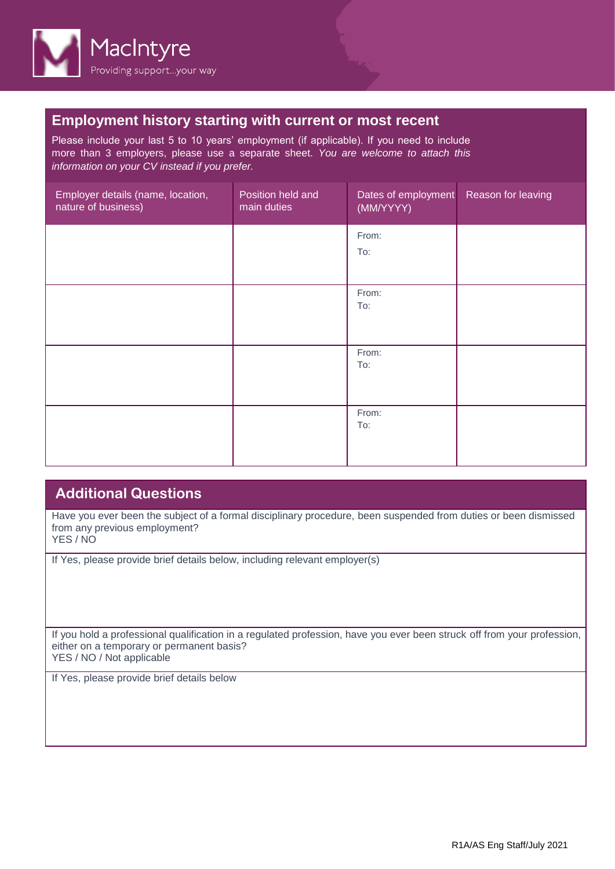

## **Employment history starting with current or most recent**

Please include your last 5 to 10 years' employment (if applicable). If you need to include more than 3 employers, please use a separate sheet. *You are welcome to attach this information on your CV instead if you prefer.*

| Employer details (name, location,<br>nature of business) | Position held and<br>main duties | Dates of employment<br>(MM/YYYY) | Reason for leaving |
|----------------------------------------------------------|----------------------------------|----------------------------------|--------------------|
|                                                          |                                  | From:<br>To:                     |                    |
|                                                          |                                  | From:<br>To:                     |                    |
|                                                          |                                  | From:<br>To:                     |                    |
|                                                          |                                  | From:<br>To:                     |                    |

# **Additional Questions**

Have you ever been the subject of a formal disciplinary procedure, been suspended from duties or been dismissed from any previous employment? YES / NO

If Yes, please provide brief details below, including relevant employer(s)

If you hold a professional qualification in a regulated profession, have you ever been struck off from your profession, either on a temporary or permanent basis? YES / NO / Not applicable

If Yes, please provide brief details below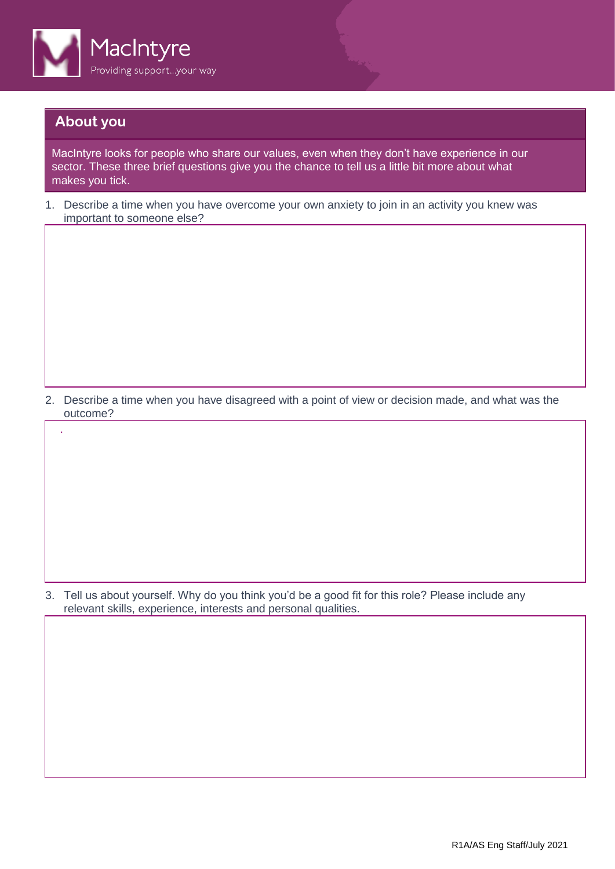

## **About you**

.

MacIntyre looks for people who share our values, even when they don't have experience in our sector. These three brief questions give you the chance to tell us a little bit more about what makes you tick.

1. Describe a time when you have overcome your own anxiety to join in an activity you knew was important to someone else?

2. Describe a time when you have disagreed with a point of view or decision made, and what was the outcome?

3. Tell us about yourself. Why do you think you'd be a good fit for this role? Please include any relevant skills, experience, interests and personal qualities.